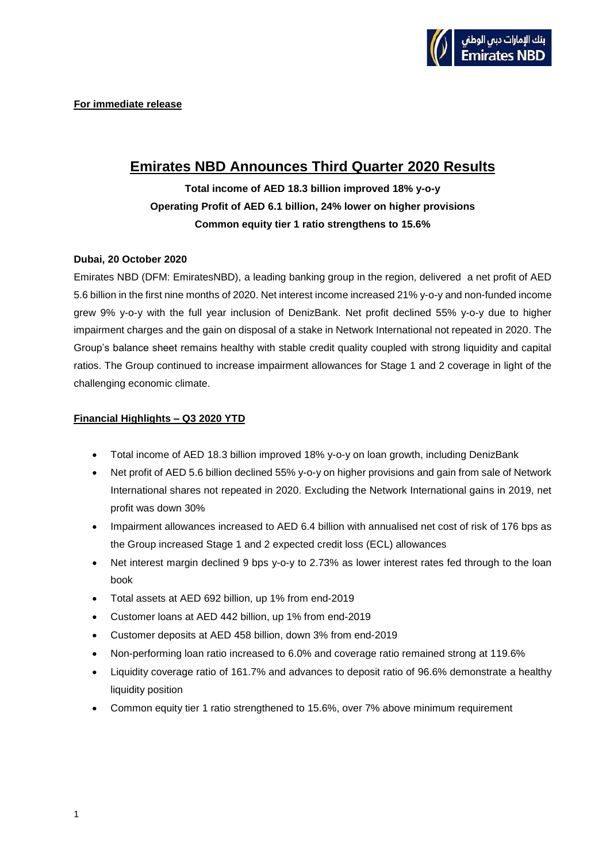# **Emirates NBD Announces Third Quarter 2020 Results**

# **Total income of AED 18.3 billion improved 18% y-o-y Operating Profit of AED 6.1 billion, 24% lower on higher provisions Common equity tier 1 ratio strengthens to 15.6%**

## **Dubai, 20 October 2020**

Emirates NBD (DFM: EmiratesNBD), a leading banking group in the region, delivered a net profit of AED 5.6 billion in the first nine months of 2020. Net interest income increased 21% y-o-y and non-funded income grew 9% y-o-y with the full year inclusion of DenizBank. Net profit declined 55% y-o-y due to higher impairment charges and the gain on disposal of a stake in Network International not repeated in 2020. The Group's balance sheet remains healthy with stable credit quality coupled with strong liquidity and capital ratios. The Group continued to increase impairment allowances for Stage 1 and 2 coverage in light of the challenging economic climate.

# **Financial Highlights – Q3 2020 YTD**

- Total income of AED 18.3 billion improved 18% y-o-y on loan growth, including DenizBank
- Net profit of AED 5.6 billion declined 55% y-o-y on higher provisions and gain from sale of Network International shares not repeated in 2020. Excluding the Network International gains in 2019, net profit was down 30%
- Impairment allowances increased to AED 6.4 billion with annualised net cost of risk of 176 bps as the Group increased Stage 1 and 2 expected credit loss (ECL) allowances
- Net interest margin declined 9 bps y-o-y to 2.73% as lower interest rates fed through to the loan book
- Total assets at AED 692 billion, up 1% from end-2019
- Customer loans at AED 442 billion, up 1% from end-2019
- Customer deposits at AED 458 billion, down 3% from end-2019
- Non-performing loan ratio increased to 6.0% and coverage ratio remained strong at 119.6%
- Liquidity coverage ratio of 161.7% and advances to deposit ratio of 96.6% demonstrate a healthy liquidity position
- Common equity tier 1 ratio strengthened to 15.6%, over 7% above minimum requirement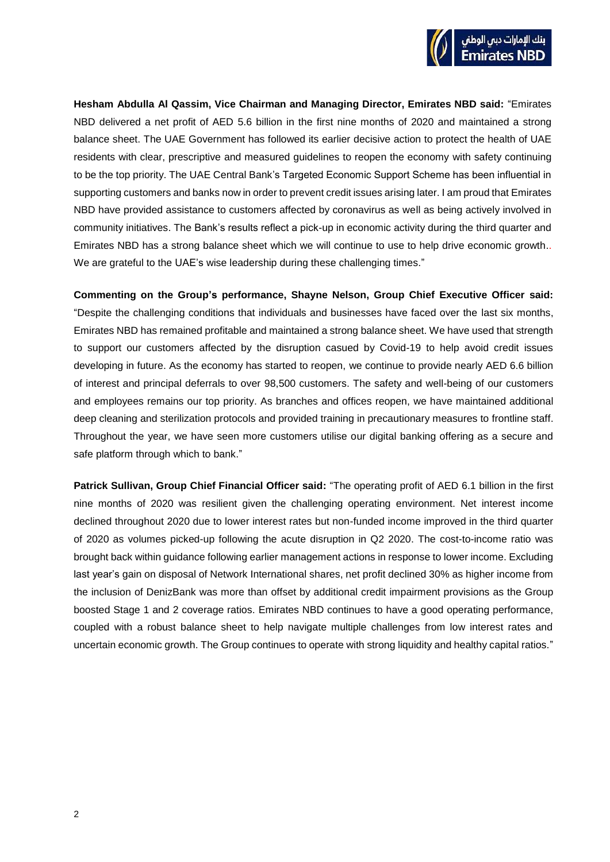

**Hesham Abdulla Al Qassim, Vice Chairman and Managing Director, Emirates NBD said:** "Emirates NBD delivered a net profit of AED 5.6 billion in the first nine months of 2020 and maintained a strong balance sheet. The UAE Government has followed its earlier decisive action to protect the health of UAE residents with clear, prescriptive and measured guidelines to reopen the economy with safety continuing to be the top priority. The UAE Central Bank's Targeted Economic Support Scheme has been influential in supporting customers and banks now in order to prevent credit issues arising later. I am proud that Emirates NBD have provided assistance to customers affected by coronavirus as well as being actively involved in community initiatives. The Bank's results reflect a pick-up in economic activity during the third quarter and Emirates NBD has a strong balance sheet which we will continue to use to help drive economic growth.. We are grateful to the UAE's wise leadership during these challenging times."

**Commenting on the Group's performance, Shayne Nelson, Group Chief Executive Officer said:** "Despite the challenging conditions that individuals and businesses have faced over the last six months, Emirates NBD has remained profitable and maintained a strong balance sheet. We have used that strength to support our customers affected by the disruption casued by Covid-19 to help avoid credit issues developing in future. As the economy has started to reopen, we continue to provide nearly AED 6.6 billion of interest and principal deferrals to over 98,500 customers. The safety and well-being of our customers and employees remains our top priority. As branches and offices reopen, we have maintained additional deep cleaning and sterilization protocols and provided training in precautionary measures to frontline staff. Throughout the year, we have seen more customers utilise our digital banking offering as a secure and safe platform through which to bank."

**Patrick Sullivan, Group Chief Financial Officer said:** "The operating profit of AED 6.1 billion in the first nine months of 2020 was resilient given the challenging operating environment. Net interest income declined throughout 2020 due to lower interest rates but non-funded income improved in the third quarter of 2020 as volumes picked-up following the acute disruption in Q2 2020. The cost-to-income ratio was brought back within guidance following earlier management actions in response to lower income. Excluding last year's gain on disposal of Network International shares, net profit declined 30% as higher income from the inclusion of DenizBank was more than offset by additional credit impairment provisions as the Group boosted Stage 1 and 2 coverage ratios. Emirates NBD continues to have a good operating performance, coupled with a robust balance sheet to help navigate multiple challenges from low interest rates and uncertain economic growth. The Group continues to operate with strong liquidity and healthy capital ratios."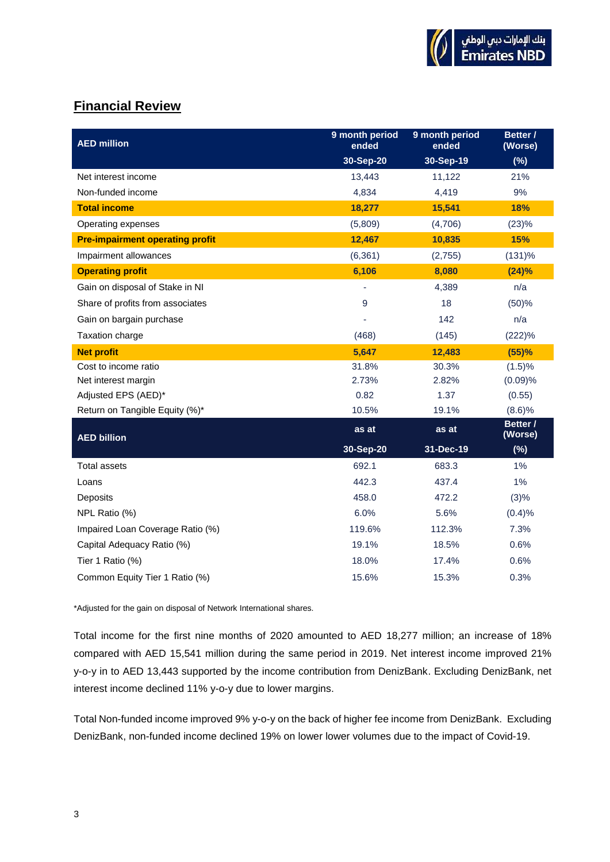# **Financial Review**

| <b>AED million</b>                     | 9 month period<br>ended | 9 month period<br>ended | Better /<br>(Worse) |
|----------------------------------------|-------------------------|-------------------------|---------------------|
|                                        | 30-Sep-20               | 30-Sep-19               | (%)                 |
| Net interest income                    | 13,443                  | 11,122                  | 21%                 |
| Non-funded income                      | 4,834                   | 4,419                   | 9%                  |
| <b>Total income</b>                    | 18,277                  | 15,541                  | 18%                 |
| Operating expenses                     | (5,809)                 | (4,706)                 | (23)%               |
| <b>Pre-impairment operating profit</b> | 12,467                  | 10,835                  | 15%                 |
| Impairment allowances                  | (6, 361)                | (2,755)                 | (131)%              |
| <b>Operating profit</b>                | 6,106                   | 8,080                   | $(24)\%$            |
| Gain on disposal of Stake in NI        | ٠                       | 4,389                   | n/a                 |
| Share of profits from associates       | 9                       | 18                      | (50)%               |
| Gain on bargain purchase               |                         | 142                     | n/a                 |
| Taxation charge                        | (468)                   | (145)                   | (222)%              |
| <b>Net profit</b>                      | 5,647                   | 12,483                  | (55)%               |
| Cost to income ratio                   | 31.8%                   | 30.3%                   | (1.5)%              |
| Net interest margin                    | 2.73%                   | 2.82%                   | (0.09)%             |
| Adjusted EPS (AED)*                    | 0.82                    | 1.37                    | (0.55)              |
| Return on Tangible Equity (%)*         | 10.5%                   | 19.1%                   | (8.6)%              |
| <b>AED billion</b>                     | as at                   | as at                   | Better /<br>(Worse) |
|                                        | 30-Sep-20               | 31-Dec-19               | (%)                 |
| <b>Total assets</b>                    | 692.1                   | 683.3                   | 1%                  |
| Loans                                  | 442.3                   | 437.4                   | 1%                  |
| Deposits                               | 458.0                   | 472.2                   | (3)%                |
| NPL Ratio (%)                          | 6.0%                    | 5.6%                    | (0.4)%              |
| Impaired Loan Coverage Ratio (%)       | 119.6%                  | 112.3%                  | 7.3%                |
| Capital Adequacy Ratio (%)             | 19.1%                   | 18.5%                   | 0.6%                |
| Tier 1 Ratio (%)                       | 18.0%                   | 17.4%                   | 0.6%                |
| Common Equity Tier 1 Ratio (%)         | 15.6%                   | 15.3%                   | 0.3%                |

\*Adjusted for the gain on disposal of Network International shares.

Total income for the first nine months of 2020 amounted to AED 18,277 million; an increase of 18% compared with AED 15,541 million during the same period in 2019. Net interest income improved 21% y-o-y in to AED 13,443 supported by the income contribution from DenizBank. Excluding DenizBank, net interest income declined 11% y-o-y due to lower margins.

Total Non-funded income improved 9% y-o-y on the back of higher fee income from DenizBank. Excluding DenizBank, non-funded income declined 19% on lower lower volumes due to the impact of Covid-19.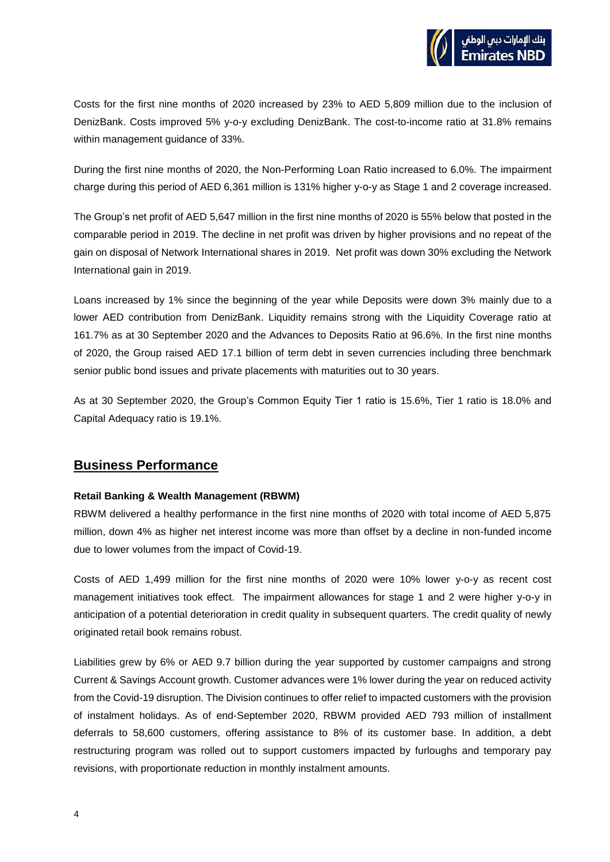Costs for the first nine months of 2020 increased by 23% to AED 5,809 million due to the inclusion of DenizBank. Costs improved 5% y-o-y excluding DenizBank. The cost-to-income ratio at 31.8% remains within management guidance of 33%.

During the first nine months of 2020, the Non-Performing Loan Ratio increased to 6.0%. The impairment charge during this period of AED 6,361 million is 131% higher y-o-y as Stage 1 and 2 coverage increased.

The Group's net profit of AED 5,647 million in the first nine months of 2020 is 55% below that posted in the comparable period in 2019. The decline in net profit was driven by higher provisions and no repeat of the gain on disposal of Network International shares in 2019. Net profit was down 30% excluding the Network International gain in 2019.

Loans increased by 1% since the beginning of the year while Deposits were down 3% mainly due to a lower AED contribution from DenizBank. Liquidity remains strong with the Liquidity Coverage ratio at 161.7% as at 30 September 2020 and the Advances to Deposits Ratio at 96.6%. In the first nine months of 2020, the Group raised AED 17.1 billion of term debt in seven currencies including three benchmark senior public bond issues and private placements with maturities out to 30 years.

As at 30 September 2020, the Group's Common Equity Tier 1 ratio is 15.6%, Tier 1 ratio is 18.0% and Capital Adequacy ratio is 19.1%.

# **Business Performance**

## **Retail Banking & Wealth Management (RBWM)**

RBWM delivered a healthy performance in the first nine months of 2020 with total income of AED 5,875 million, down 4% as higher net interest income was more than offset by a decline in non-funded income due to lower volumes from the impact of Covid-19.

Costs of AED 1,499 million for the first nine months of 2020 were 10% lower y-o-y as recent cost management initiatives took effect. The impairment allowances for stage 1 and 2 were higher y-o-y in anticipation of a potential deterioration in credit quality in subsequent quarters. The credit quality of newly originated retail book remains robust.

Liabilities grew by 6% or AED 9.7 billion during the year supported by customer campaigns and strong Current & Savings Account growth. Customer advances were 1% lower during the year on reduced activity from the Covid-19 disruption. The Division continues to offer relief to impacted customers with the provision of instalment holidays. As of end-September 2020, RBWM provided AED 793 million of installment deferrals to 58,600 customers, offering assistance to 8% of its customer base. In addition, a debt restructuring program was rolled out to support customers impacted by furloughs and temporary pay revisions, with proportionate reduction in monthly instalment amounts.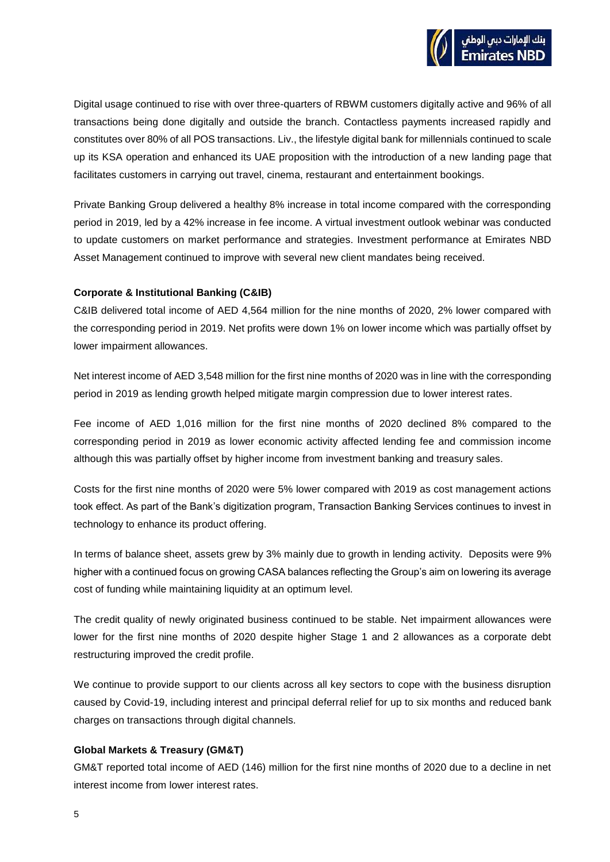Digital usage continued to rise with over three-quarters of RBWM customers digitally active and 96% of all transactions being done digitally and outside the branch. Contactless payments increased rapidly and constitutes over 80% of all POS transactions. Liv., the lifestyle digital bank for millennials continued to scale up its KSA operation and enhanced its UAE proposition with the introduction of a new landing page that facilitates customers in carrying out travel, cinema, restaurant and entertainment bookings.

Private Banking Group delivered a healthy 8% increase in total income compared with the corresponding period in 2019, led by a 42% increase in fee income. A virtual investment outlook webinar was conducted to update customers on market performance and strategies. Investment performance at Emirates NBD Asset Management continued to improve with several new client mandates being received.

### **Corporate & Institutional Banking (C&IB)**

C&IB delivered total income of AED 4,564 million for the nine months of 2020, 2% lower compared with the corresponding period in 2019. Net profits were down 1% on lower income which was partially offset by lower impairment allowances.

Net interest income of AED 3,548 million for the first nine months of 2020 was in line with the corresponding period in 2019 as lending growth helped mitigate margin compression due to lower interest rates.

Fee income of AED 1,016 million for the first nine months of 2020 declined 8% compared to the corresponding period in 2019 as lower economic activity affected lending fee and commission income although this was partially offset by higher income from investment banking and treasury sales.

Costs for the first nine months of 2020 were 5% lower compared with 2019 as cost management actions took effect. As part of the Bank's digitization program, Transaction Banking Services continues to invest in technology to enhance its product offering.

In terms of balance sheet, assets grew by 3% mainly due to growth in lending activity. Deposits were 9% higher with a continued focus on growing CASA balances reflecting the Group's aim on lowering its average cost of funding while maintaining liquidity at an optimum level.

The credit quality of newly originated business continued to be stable. Net impairment allowances were lower for the first nine months of 2020 despite higher Stage 1 and 2 allowances as a corporate debt restructuring improved the credit profile.

We continue to provide support to our clients across all key sectors to cope with the business disruption caused by Covid-19, including interest and principal deferral relief for up to six months and reduced bank charges on transactions through digital channels.

## **Global Markets & Treasury (GM&T)**

GM&T reported total income of AED (146) million for the first nine months of 2020 due to a decline in net interest income from lower interest rates.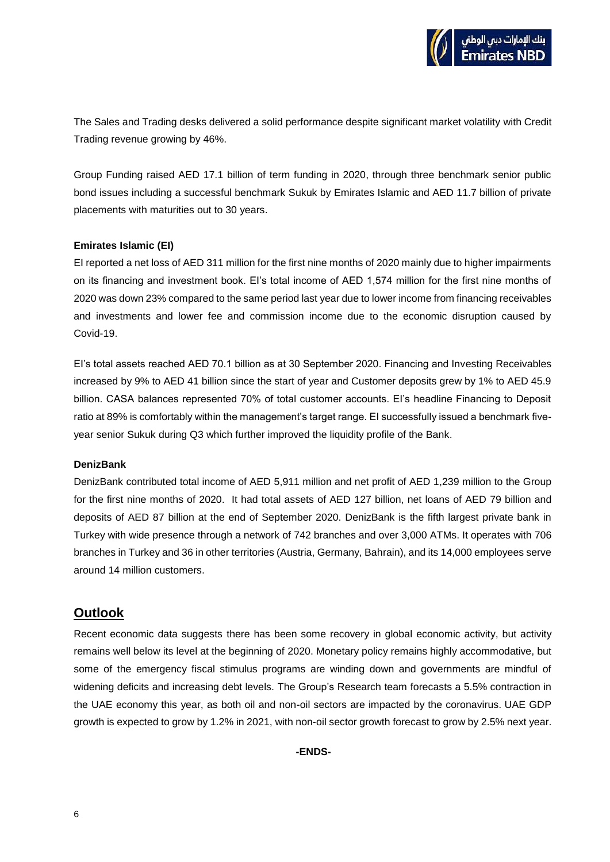The Sales and Trading desks delivered a solid performance despite significant market volatility with Credit Trading revenue growing by 46%.

Group Funding raised AED 17.1 billion of term funding in 2020, through three benchmark senior public bond issues including a successful benchmark Sukuk by Emirates Islamic and AED 11.7 billion of private placements with maturities out to 30 years.

### **Emirates Islamic (EI)**

EI reported a net loss of AED 311 million for the first nine months of 2020 mainly due to higher impairments on its financing and investment book. EI's total income of AED 1,574 million for the first nine months of 2020 was down 23% compared to the same period last year due to lower income from financing receivables and investments and lower fee and commission income due to the economic disruption caused by Covid-19.

EI's total assets reached AED 70.1 billion as at 30 September 2020. Financing and Investing Receivables increased by 9% to AED 41 billion since the start of year and Customer deposits grew by 1% to AED 45.9 billion. CASA balances represented 70% of total customer accounts. EI's headline Financing to Deposit ratio at 89% is comfortably within the management's target range. EI successfully issued a benchmark fiveyear senior Sukuk during Q3 which further improved the liquidity profile of the Bank.

#### **DenizBank**

DenizBank contributed total income of AED 5,911 million and net profit of AED 1,239 million to the Group for the first nine months of 2020. It had total assets of AED 127 billion, net loans of AED 79 billion and deposits of AED 87 billion at the end of September 2020. DenizBank is the fifth largest private bank in Turkey with wide presence through a network of 742 branches and over 3,000 ATMs. It operates with 706 branches in Turkey and 36 in other territories (Austria, Germany, Bahrain), and its 14,000 employees serve around 14 million customers.

# **Outlook**

Recent economic data suggests there has been some recovery in global economic activity, but activity remains well below its level at the beginning of 2020. Monetary policy remains highly accommodative, but some of the emergency fiscal stimulus programs are winding down and governments are mindful of widening deficits and increasing debt levels. The Group's Research team forecasts a 5.5% contraction in the UAE economy this year, as both oil and non-oil sectors are impacted by the coronavirus. UAE GDP growth is expected to grow by 1.2% in 2021, with non-oil sector growth forecast to grow by 2.5% next year.

**-ENDS-**